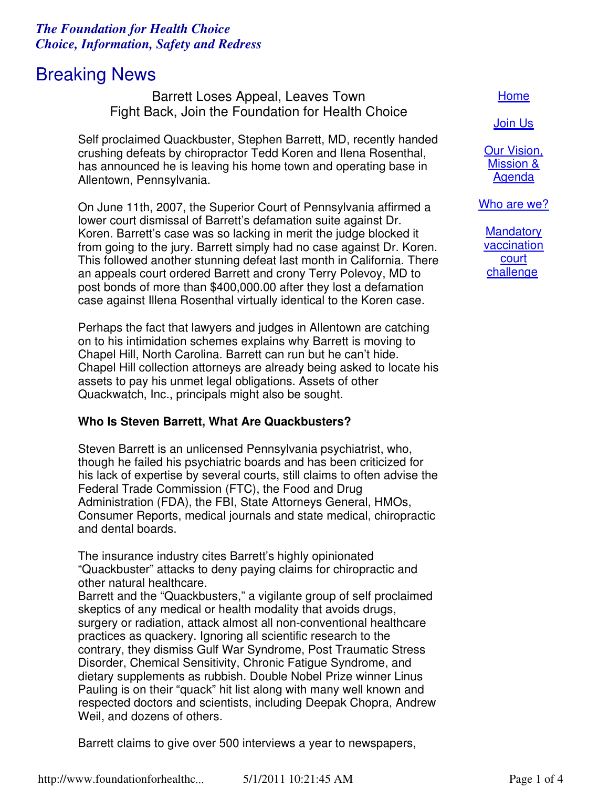## *The Foundation for Health Choice Choice, Information, Safety and Redress*

# Breaking News

Barrett Loses Appeal, Leaves Town Fight Back, Join the Foundation for Health Choice

Self proclaimed Quackbuster, Stephen Barrett, MD, recently handed crushing defeats by chiropractor Tedd Koren and Ilena Rosenthal, has announced he is leaving his home town and operating base in Allentown, Pennsylvania.

On June 11th, 2007, the Superior Court of Pennsylvania affirmed a lower court dismissal of Barrett's defamation suite against Dr. Koren. Barrett's case was so lacking in merit the judge blocked it from going to the jury. Barrett simply had no case against Dr. Koren. This followed another stunning defeat last month in California. There an appeals court ordered Barrett and crony Terry Polevoy, MD to post bonds of more than \$400,000.00 after they lost a defamation case against Illena Rosenthal virtually identical to the Koren case.

Perhaps the fact that lawyers and judges in Allentown are catching on to his intimidation schemes explains why Barrett is moving to Chapel Hill, North Carolina. Barrett can run but he can't hide. Chapel Hill collection attorneys are already being asked to locate his assets to pay his unmet legal obligations. Assets of other Quackwatch, Inc., principals might also be sought.

## **Who Is Steven Barrett, What Are Quackbusters?**

Steven Barrett is an unlicensed Pennsylvania psychiatrist, who, though he failed his psychiatric boards and has been criticized for his lack of expertise by several courts, still claims to often advise the Federal Trade Commission (FTC), the Food and Drug Administration (FDA), the FBI, State Attorneys General, HMOs, Consumer Reports, medical journals and state medical, chiropractic and dental boards.

The insurance industry cites Barrett's highly opinionated "Quackbuster" attacks to deny paying claims for chiropractic and other natural healthcare.

Barrett and the "Quackbusters," a vigilante group of self proclaimed skeptics of any medical or health modality that avoids drugs, surgery or radiation, attack almost all non-conventional healthcare practices as quackery. Ignoring all scientific research to the contrary, they dismiss Gulf War Syndrome, Post Traumatic Stress Disorder, Chemical Sensitivity, Chronic Fatigue Syndrome, and dietary supplements as rubbish. Double Nobel Prize winner Linus Pauling is on their "quack" hit list along with many well known and respected doctors and scientists, including Deepak Chopra, Andrew Weil, and dozens of others.

Barrett claims to give over 500 interviews a year to newspapers,

http://www.foundationforhealthc... 5/1/2011 10:21:45 AM Page 1 of 4

#### Home

Join Us

Our Vision, Mission & Agenda

Who are we?

**Mandatory** vaccination court challenge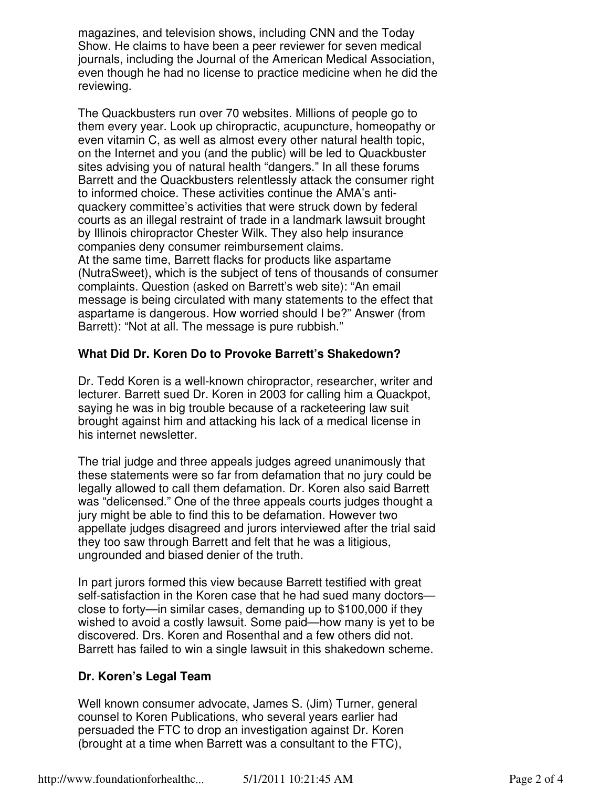magazines, and television shows, including CNN and the Today Show. He claims to have been a peer reviewer for seven medical journals, including the Journal of the American Medical Association, even though he had no license to practice medicine when he did the reviewing.

The Quackbusters run over 70 websites. Millions of people go to them every year. Look up chiropractic, acupuncture, homeopathy or even vitamin C, as well as almost every other natural health topic, on the Internet and you (and the public) will be led to Quackbuster sites advising you of natural health "dangers." In all these forums Barrett and the Quackbusters relentlessly attack the consumer right to informed choice. These activities continue the AMA's antiquackery committee's activities that were struck down by federal courts as an illegal restraint of trade in a landmark lawsuit brought by Illinois chiropractor Chester Wilk. They also help insurance companies deny consumer reimbursement claims. At the same time, Barrett flacks for products like aspartame (NutraSweet), which is the subject of tens of thousands of consumer complaints. Question (asked on Barrett's web site): "An email message is being circulated with many statements to the effect that aspartame is dangerous. How worried should I be?" Answer (from Barrett): "Not at all. The message is pure rubbish."

### **What Did Dr. Koren Do to Provoke Barrett's Shakedown?**

Dr. Tedd Koren is a well-known chiropractor, researcher, writer and lecturer. Barrett sued Dr. Koren in 2003 for calling him a Quackpot, saying he was in big trouble because of a racketeering law suit brought against him and attacking his lack of a medical license in his internet newsletter.

The trial judge and three appeals judges agreed unanimously that these statements were so far from defamation that no jury could be legally allowed to call them defamation. Dr. Koren also said Barrett was "delicensed." One of the three appeals courts judges thought a jury might be able to find this to be defamation. However two appellate judges disagreed and jurors interviewed after the trial said they too saw through Barrett and felt that he was a litigious, ungrounded and biased denier of the truth.

In part jurors formed this view because Barrett testified with great self-satisfaction in the Koren case that he had sued many doctors close to forty—in similar cases, demanding up to \$100,000 if they wished to avoid a costly lawsuit. Some paid—how many is yet to be discovered. Drs. Koren and Rosenthal and a few others did not. Barrett has failed to win a single lawsuit in this shakedown scheme.

## **Dr. Koren's Legal Team**

Well known consumer advocate, James S. (Jim) Turner, general counsel to Koren Publications, who several years earlier had persuaded the FTC to drop an investigation against Dr. Koren (brought at a time when Barrett was a consultant to the FTC),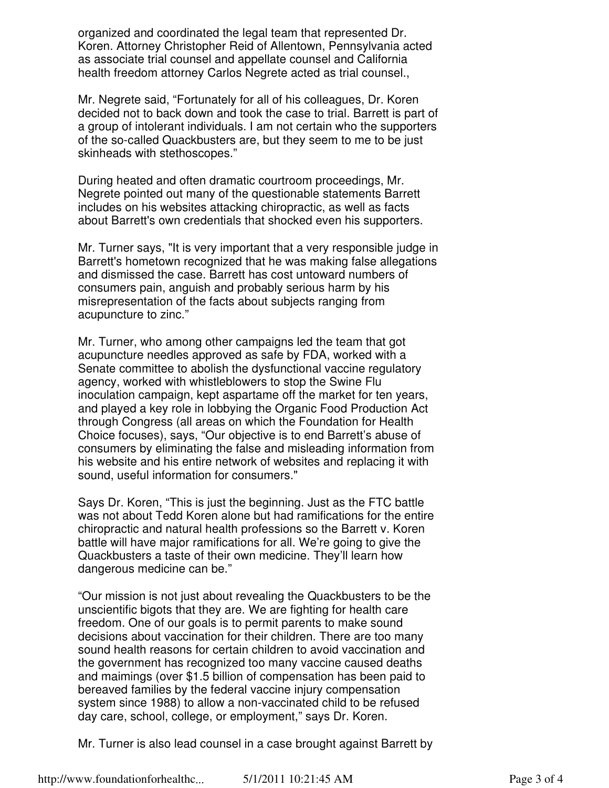organized and coordinated the legal team that represented Dr. Koren. Attorney Christopher Reid of Allentown, Pennsylvania acted as associate trial counsel and appellate counsel and California health freedom attorney Carlos Negrete acted as trial counsel.,

Mr. Negrete said, "Fortunately for all of his colleagues, Dr. Koren decided not to back down and took the case to trial. Barrett is part of a group of intolerant individuals. I am not certain who the supporters of the so-called Quackbusters are, but they seem to me to be just skinheads with stethoscopes."

During heated and often dramatic courtroom proceedings, Mr. Negrete pointed out many of the questionable statements Barrett includes on his websites attacking chiropractic, as well as facts about Barrett's own credentials that shocked even his supporters.

Mr. Turner says, "It is very important that a very responsible judge in Barrett's hometown recognized that he was making false allegations and dismissed the case. Barrett has cost untoward numbers of consumers pain, anguish and probably serious harm by his misrepresentation of the facts about subjects ranging from acupuncture to zinc."

Mr. Turner, who among other campaigns led the team that got acupuncture needles approved as safe by FDA, worked with a Senate committee to abolish the dysfunctional vaccine regulatory agency, worked with whistleblowers to stop the Swine Flu inoculation campaign, kept aspartame off the market for ten years, and played a key role in lobbying the Organic Food Production Act through Congress (all areas on which the Foundation for Health Choice focuses), says, "Our objective is to end Barrett's abuse of consumers by eliminating the false and misleading information from his website and his entire network of websites and replacing it with sound, useful information for consumers."

Says Dr. Koren, "This is just the beginning. Just as the FTC battle was not about Tedd Koren alone but had ramifications for the entire chiropractic and natural health professions so the Barrett v. Koren battle will have major ramifications for all. We're going to give the Quackbusters a taste of their own medicine. They'll learn how dangerous medicine can be."

"Our mission is not just about revealing the Quackbusters to be the unscientific bigots that they are. We are fighting for health care freedom. One of our goals is to permit parents to make sound decisions about vaccination for their children. There are too many sound health reasons for certain children to avoid vaccination and the government has recognized too many vaccine caused deaths and maimings (over \$1.5 billion of compensation has been paid to bereaved families by the federal vaccine injury compensation system since 1988) to allow a non-vaccinated child to be refused day care, school, college, or employment," says Dr. Koren.

Mr. Turner is also lead counsel in a case brought against Barrett by